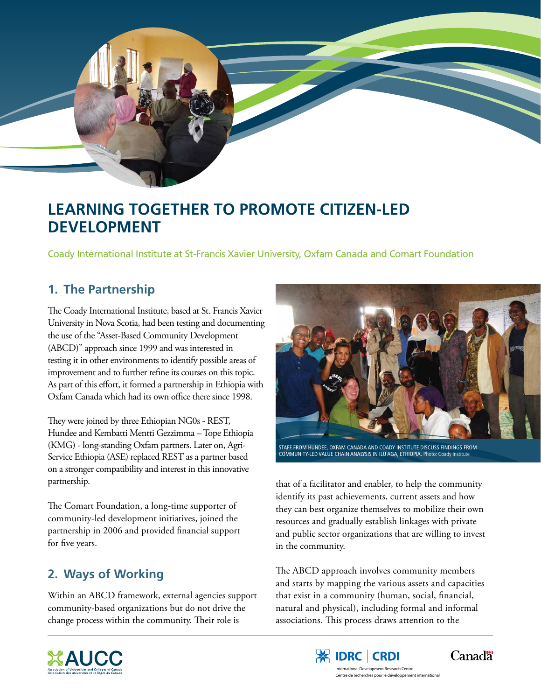

# **Learning Together to Promote Citizen-Led Development**

Coady International Institute at St-Francis Xavier University, Oxfam Canada and Comart Foundation

### **1. The Partnership**

The Coady International Institute, based at St. Francis Xavier University in Nova Scotia, had been testing and documenting the use of the "Asset-Based Community Development (ABCD)" approach since 1999 and was interested in testing it in other environments to identify possible areas of improvement and to further refine its courses on this topic. As part of this effort, it formed a partnership in Ethiopia with Oxfam Canada which had its own office there since 1998.

They were joined by three Ethiopian NG0s - REST, Hundee and Kembatti Mentti Gezzimma – Tope Ethiopia (KMG) - long-standing Oxfam partners. Later on, Agri-Service Ethiopia (ASE) replaced REST as a partner based on a stronger compatibility and interest in this innovative partnership.

The Comart Foundation, a long-time supporter of community-led development initiatives, joined the partnership in 2006 and provided financial support for five years.

## **2. Ways of Working**

Within an ABCD framework, external agencies support community-based organizations but do not drive the change process within the community. Their role is



Staff from Hundee, Oxfam Canada and Coady Institute discuss findings from community-led value chain analysis in Ilu Aga, Ethiopia. Photo: Coady Institute

that of a facilitator and enabler, to help the community identify its past achievements, current assets and how they can best organize themselves to mobilize their own resources and gradually establish linkages with private and public sector organizations that are willing to invest in the community.

The ABCD approach involves community members and starts by mapping the various assets and capacities that exist in a community (human, social, financial, natural and physical), including formal and informal associations. This process draws attention to the





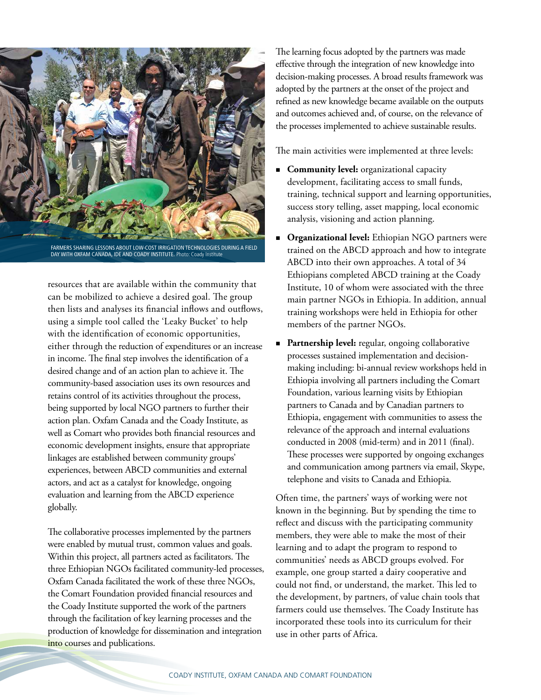

Farmers sharing lessons about low-cost irrigation technologies during a field DAY WITH OXFAM CANADA, IDE AND COADY INSTITUTE. Photo: Coady Institute

resources that are available within the community that can be mobilized to achieve a desired goal. The group then lists and analyses its financial inflows and outflows, using a simple tool called the 'Leaky Bucket' to help with the identification of economic opportunities, either through the reduction of expenditures or an increase in income. The final step involves the identification of a desired change and of an action plan to achieve it. The community-based association uses its own resources and retains control of its activities throughout the process, being supported by local NGO partners to further their action plan. Oxfam Canada and the Coady Institute, as well as Comart who provides both financial resources and economic development insights, ensure that appropriate linkages are established between community groups' experiences, between ABCD communities and external actors, and act as a catalyst for knowledge, ongoing evaluation and learning from the ABCD experience globally.

The collaborative processes implemented by the partners were enabled by mutual trust, common values and goals. Within this project, all partners acted as facilitators. The three Ethiopian NGOs facilitated community-led processes, Oxfam Canada facilitated the work of these three NGOs, the Comart Foundation provided financial resources and the Coady Institute supported the work of the partners through the facilitation of key learning processes and the production of knowledge for dissemination and integration into courses and publications.

The learning focus adopted by the partners was made effective through the integration of new knowledge into decision-making processes. A broad results framework was adopted by the partners at the onset of the project and refined as new knowledge became available on the outputs and outcomes achieved and, of course, on the relevance of the processes implemented to achieve sustainable results.

The main activities were implemented at three levels:

- **Community level:** organizational capacity development, facilitating access to small funds, training, technical support and learning opportunities, success story telling, asset mapping, local economic analysis, visioning and action planning.
- **Organizational level:** Ethiopian NGO partners were trained on the ABCD approach and how to integrate ABCD into their own approaches. A total of 34 Ethiopians completed ABCD training at the Coady Institute, 10 of whom were associated with the three main partner NGOs in Ethiopia. In addition, annual training workshops were held in Ethiopia for other members of the partner NGOs.
- **Partnership level:** regular, ongoing collaborative processes sustained implementation and decisionmaking including: bi-annual review workshops held in Ethiopia involving all partners including the Comart Foundation, various learning visits by Ethiopian partners to Canada and by Canadian partners to Ethiopia, engagement with communities to assess the relevance of the approach and internal evaluations conducted in 2008 (mid-term) and in 2011 (final). These processes were supported by ongoing exchanges and communication among partners via email, Skype, telephone and visits to Canada and Ethiopia.

Often time, the partners' ways of working were not known in the beginning. But by spending the time to reflect and discuss with the participating community members, they were able to make the most of their learning and to adapt the program to respond to communities' needs as ABCD groups evolved. For example, one group started a dairy cooperative and could not find, or understand, the market. This led to the development, by partners, of value chain tools that farmers could use themselves. The Coady Institute has incorporated these tools into its curriculum for their use in other parts of Africa.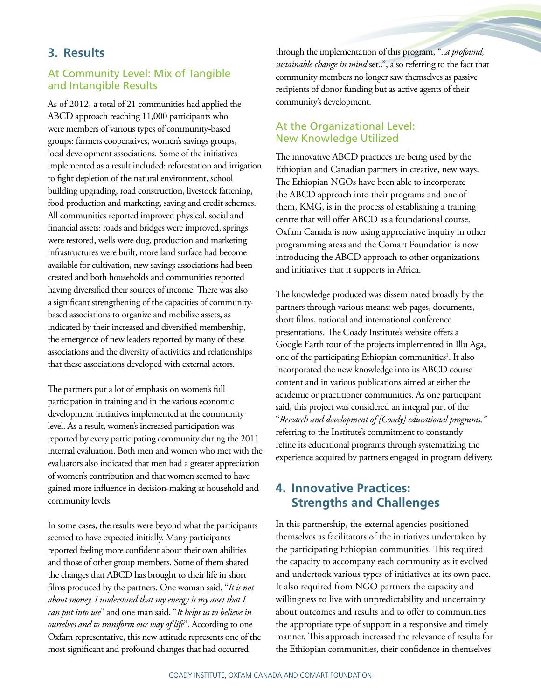#### **3. Results**

#### At Community Level: Mix of Tangible and Intangible Results

As of 2012, a total of 21 communities had applied the ABCD approach reaching 11,000 participants who were members of various types of community-based groups: farmers cooperatives, women's savings groups, local development associations. Some of the initiatives implemented as a result included: reforestation and irrigation to fight depletion of the natural environment, school building upgrading, road construction, livestock fattening, food production and marketing, saving and credit schemes. All communities reported improved physical, social and financial assets: roads and bridges were improved, springs were restored, wells were dug, production and marketing infrastructures were built, more land surface had become available for cultivation, new savings associations had been created and both households and communities reported having diversified their sources of income. There was also a significant strengthening of the capacities of communitybased associations to organize and mobilize assets, as indicated by their increased and diversified membership, the emergence of new leaders reported by many of these associations and the diversity of activities and relationships that these associations developed with external actors.

The partners put a lot of emphasis on women's full participation in training and in the various economic development initiatives implemented at the community level. As a result, women's increased participation was reported by every participating community during the 2011 internal evaluation. Both men and women who met with the evaluators also indicated that men had a greater appreciation of women's contribution and that women seemed to have gained more influence in decision-making at household and community levels.

In some cases, the results were beyond what the participants seemed to have expected initially. Many participants reported feeling more confident about their own abilities and those of other group members. Some of them shared the changes that ABCD has brought to their life in short films produced by the partners. One woman said, "*It is not about money. I understand that my energy is my asset that I can put into use*" and one man said, "*It helps us to believe in ourselves and to transform our way of life*". According to one Oxfam representative, this new attitude represents one of the most significant and profound changes that had occurred

through the implementation of this program, "..*a profound, sustainable change in mind* set..", also referring to the fact that community members no longer saw themselves as passive recipients of donor funding but as active agents of their community's development.

#### At the Organizational Level: New Knowledge Utilized

The innovative ABCD practices are being used by the Ethiopian and Canadian partners in creative, new ways. The Ethiopian NGOs have been able to incorporate the ABCD approach into their programs and one of them, KMG, is in the process of establishing a training centre that will offer ABCD as a foundational course. Oxfam Canada is now using appreciative inquiry in other programming areas and the Comart Foundation is now introducing the ABCD approach to other organizations and initiatives that it supports in Africa.

The knowledge produced was disseminated broadly by the partners through various means: web pages, documents, short films, national and international conference presentations. The Coady Institute's website offers a Google Earth tour of the projects implemented in Illu Aga, one of the participating Ethiopian communities<sup>1</sup>. It also incorporated the new knowledge into its ABCD course content and in various publications aimed at either the academic or practitioner communities. As one participant said, this project was considered an integral part of the "*Research and development of [Coady] educational programs,"* referring to the Institute's commitment to constantly refine its educational programs through systematizing the experience acquired by partners engaged in program delivery.

### **4. Innovative Practices: Strengths and Challenges**

In this partnership, the external agencies positioned themselves as facilitators of the initiatives undertaken by the participating Ethiopian communities. This required the capacity to accompany each community as it evolved and undertook various types of initiatives at its own pace. It also required from NGO partners the capacity and willingness to live with unpredictability and uncertainty about outcomes and results and to offer to communities the appropriate type of support in a responsive and timely manner. This approach increased the relevance of results for the Ethiopian communities, their confidence in themselves